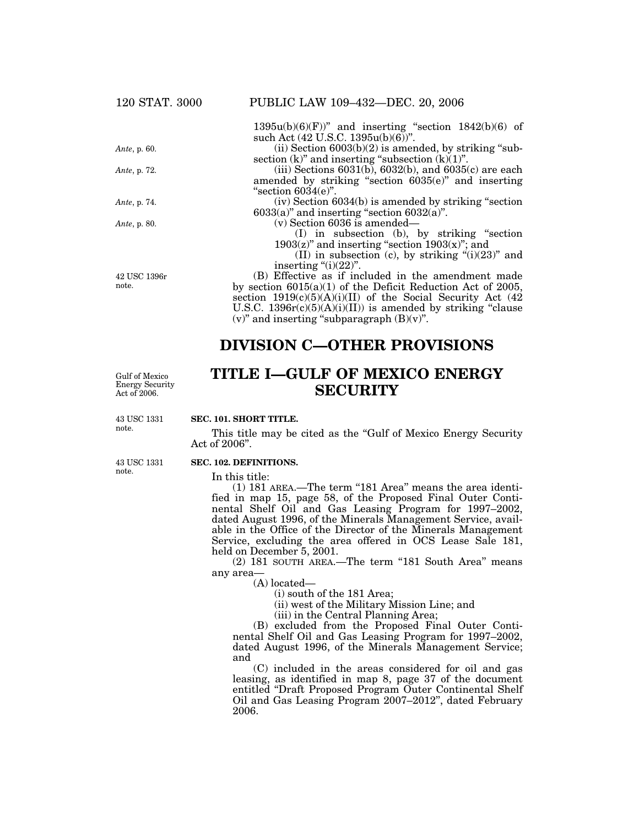## **DIVISION C—OTHER PROVISIONS**

Gulf of Mexico Energy Security Act of 2006.

# **TITLE I—GULF OF MEXICO ENERGY SECURITY**

**SEC. 101. SHORT TITLE.** This title may be cited as the "Gulf of Mexico Energy Security" Act of 2006''. 43 USC 1331 note.

43 USC 1331 note.

#### **SEC. 102. DEFINITIONS.**

In this title:

 $(1)$  181 AREA.—The term "181 Area" means the area identified in map 15, page 58, of the Proposed Final Outer Continental Shelf Oil and Gas Leasing Program for 1997–2002, dated August 1996, of the Minerals Management Service, available in the Office of the Director of the Minerals Management Service, excluding the area offered in OCS Lease Sale 181, held on December 5, 2001.

(2) 181 SOUTH AREA.—The term ''181 South Area'' means any area—

(A) located—

(i) south of the 181 Area;

(ii) west of the Military Mission Line; and

(iii) in the Central Planning Area;

(B) excluded from the Proposed Final Outer Continental Shelf Oil and Gas Leasing Program for 1997–2002, dated August 1996, of the Minerals Management Service; and

(C) included in the areas considered for oil and gas leasing, as identified in map 8, page 37 of the document entitled ''Draft Proposed Program Outer Continental Shelf Oil and Gas Leasing Program 2007–2012'', dated February 2006.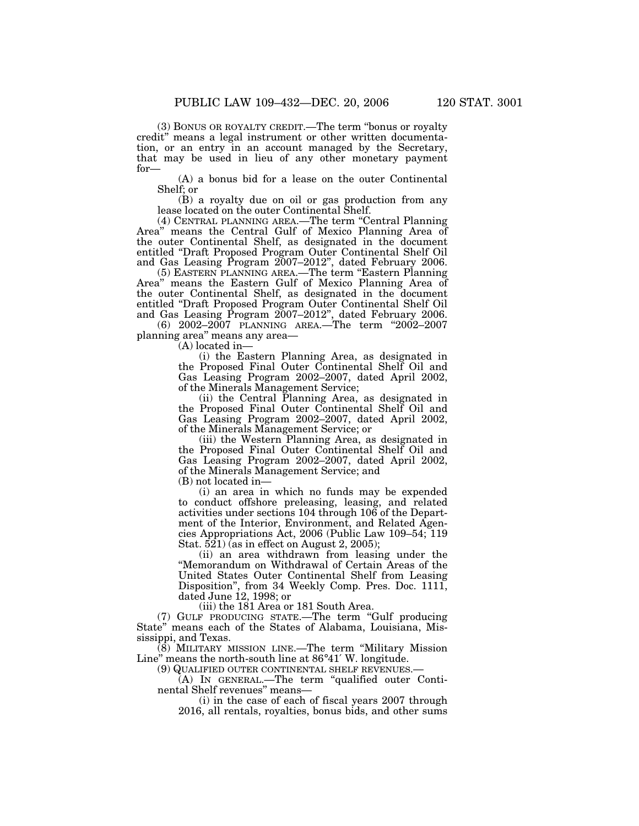(3) BONUS OR ROYALTY CREDIT.—The term ''bonus or royalty

credit'' means a legal instrument or other written documentation, or an entry in an account managed by the Secretary, that may be used in lieu of any other monetary payment for—

(A) a bonus bid for a lease on the outer Continental Shelf; or

(B) a royalty due on oil or gas production from any lease located on the outer Continental Shelf.

(4) CENTRAL PLANNING AREA.—The term ''Central Planning Area'' means the Central Gulf of Mexico Planning Area of the outer Continental Shelf, as designated in the document entitled ''Draft Proposed Program Outer Continental Shelf Oil and Gas Leasing Program 2007–2012'', dated February 2006.

(5) EASTERN PLANNING AREA.—The term ''Eastern Planning Area'' means the Eastern Gulf of Mexico Planning Area of the outer Continental Shelf, as designated in the document entitled ''Draft Proposed Program Outer Continental Shelf Oil and Gas Leasing Program 2007–2012'', dated February 2006.

(6) 2002–2007 PLANNING AREA.—The term ''2002–2007 planning area'' means any area—

(A) located in—

(i) the Eastern Planning Area, as designated in the Proposed Final Outer Continental Shelf Oil and Gas Leasing Program 2002–2007, dated April 2002, of the Minerals Management Service;

(ii) the Central Planning Area, as designated in the Proposed Final Outer Continental Shelf Oil and Gas Leasing Program 2002–2007, dated April 2002, of the Minerals Management Service; or

(iii) the Western Planning Area, as designated in the Proposed Final Outer Continental Shelf Oil and Gas Leasing Program 2002–2007, dated April 2002, of the Minerals Management Service; and

(B) not located in—

(i) an area in which no funds may be expended to conduct offshore preleasing, leasing, and related activities under sections 104 through 106 of the Department of the Interior, Environment, and Related Agencies Appropriations Act, 2006 (Public Law 109–54; 119 Stat.  $521$ ) (as in effect on August 2, 2005);

(ii) an area withdrawn from leasing under the ''Memorandum on Withdrawal of Certain Areas of the United States Outer Continental Shelf from Leasing Disposition", from 34 Weekly Comp. Pres. Doc. 1111, dated June 12, 1998; or

(iii) the 181 Area or 181 South Area.

(7) GULF PRODUCING STATE.—The term ''Gulf producing State'' means each of the States of Alabama, Louisiana, Mississippi, and Texas.

 $(8)$  MILITARY MISSION LINE.—The term "Military Mission" Line'' means the north-south line at 86°41′ W. longitude.

(9) QUALIFIED OUTER CONTINENTAL SHELF REVENUES.—

(A) IN GENERAL.—The term ''qualified outer Continental Shelf revenues'' means—

(i) in the case of each of fiscal years 2007 through 2016, all rentals, royalties, bonus bids, and other sums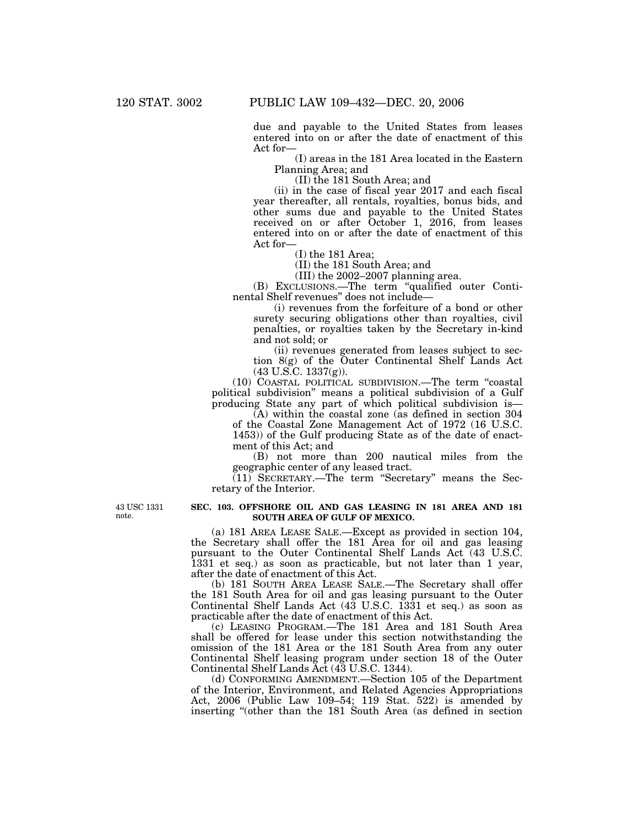due and payable to the United States from leases entered into on or after the date of enactment of this Act for—

(I) areas in the 181 Area located in the Eastern Planning Area; and

(II) the 181 South Area; and

(ii) in the case of fiscal year 2017 and each fiscal year thereafter, all rentals, royalties, bonus bids, and other sums due and payable to the United States received on or after October 1, 2016, from leases entered into on or after the date of enactment of this Act for—

(I) the 181 Area;

(II) the 181 South Area; and

(III) the 2002–2007 planning area.

(B) EXCLUSIONS.—The term ''qualified outer Continental Shelf revenues'' does not include—

(i) revenues from the forfeiture of a bond or other surety securing obligations other than royalties, civil penalties, or royalties taken by the Secretary in-kind and not sold; or

(ii) revenues generated from leases subject to section 8(g) of the Outer Continental Shelf Lands Act  $(43 \text{ U.S.C. } 1337(g))$ .

(10) COASTAL POLITICAL SUBDIVISION.—The term ''coastal political subdivision'' means a political subdivision of a Gulf producing State any part of which political subdivision is—

(A) within the coastal zone (as defined in section 304 of the Coastal Zone Management Act of 1972 (16 U.S.C. 1453)) of the Gulf producing State as of the date of enactment of this Act; and

(B) not more than 200 nautical miles from the geographic center of any leased tract.

(11) SECRETARY.—The term ''Secretary'' means the Secretary of the Interior.

43 USC 1331 note.

### **SEC. 103. OFFSHORE OIL AND GAS LEASING IN 181 AREA AND 181 SOUTH AREA OF GULF OF MEXICO.**

(a) 181 AREA LEASE SALE.—Except as provided in section 104, the Secretary shall offer the 181 Area for oil and gas leasing pursuant to the Outer Continental Shelf Lands Act (43 U.S.C. 1331 et seq.) as soon as practicable, but not later than 1 year, after the date of enactment of this Act.

(b) 181 SOUTH AREA LEASE SALE.—The Secretary shall offer the 181 South Area for oil and gas leasing pursuant to the Outer Continental Shelf Lands Act (43 U.S.C. 1331 et seq.) as soon as practicable after the date of enactment of this Act.

(c) LEASING PROGRAM.—The 181 Area and 181 South Area shall be offered for lease under this section notwithstanding the omission of the 181 Area or the 181 South Area from any outer Continental Shelf leasing program under section 18 of the Outer Continental Shelf Lands Act (43 U.S.C. 1344).

(d) CONFORMING AMENDMENT.—Section 105 of the Department of the Interior, Environment, and Related Agencies Appropriations Act, 2006 (Public Law 109–54; 119 Stat. 522) is amended by inserting ''(other than the 181 South Area (as defined in section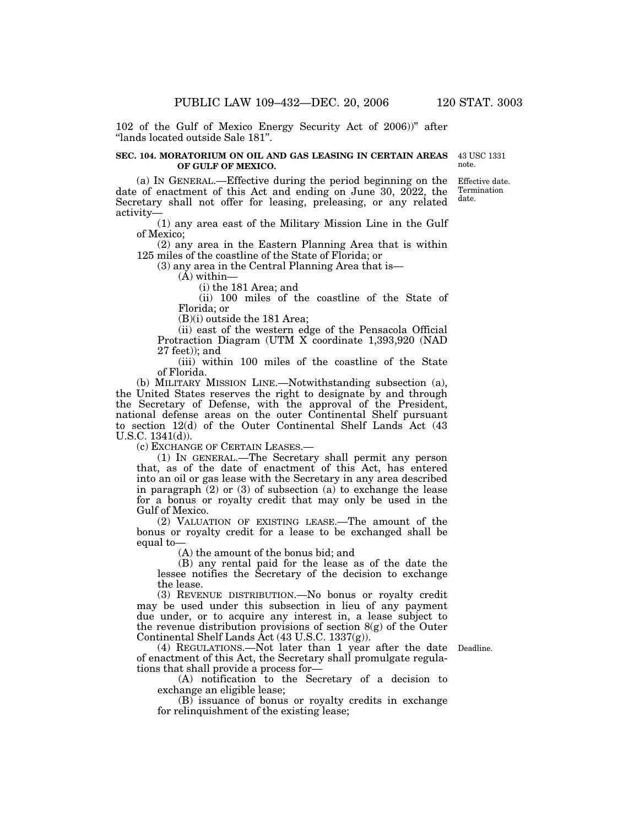102 of the Gulf of Mexico Energy Security Act of 2006))'' after ''lands located outside Sale 181''.

#### **SEC. 104. MORATORIUM ON OIL AND GAS LEASING IN CERTAIN AREAS OF GULF OF MEXICO.**

43 USC 1331 note.

(a) IN GENERAL.—Effective during the period beginning on the date of enactment of this Act and ending on June 30, 2022, the Secretary shall not offer for leasing, preleasing, or any related activity— Effective date. Termination date.

(1) any area east of the Military Mission Line in the Gulf of Mexico;

(2) any area in the Eastern Planning Area that is within 125 miles of the coastline of the State of Florida; or

(3) any area in the Central Planning Area that is—

 $(A)$  within-

(i) the 181 Area; and

(ii) 100 miles of the coastline of the State of Florida; or

(B)(i) outside the 181 Area;

(ii) east of the western edge of the Pensacola Official Protraction Diagram (UTM X coordinate 1,393,920 (NAD 27 feet)); and

(iii) within 100 miles of the coastline of the State of Florida.

(b) MILITARY MISSION LINE.—Notwithstanding subsection (a), the United States reserves the right to designate by and through the Secretary of Defense, with the approval of the President, national defense areas on the outer Continental Shelf pursuant to section 12(d) of the Outer Continental Shelf Lands Act (43 U.S.C. 1341(d)).

(c) EXCHANGE OF CERTAIN LEASES.—

(1) IN GENERAL.—The Secretary shall permit any person that, as of the date of enactment of this Act, has entered into an oil or gas lease with the Secretary in any area described in paragraph  $(2)$  or  $(3)$  of subsection  $(a)$  to exchange the lease for a bonus or royalty credit that may only be used in the Gulf of Mexico.

(2) VALUATION OF EXISTING LEASE.—The amount of the bonus or royalty credit for a lease to be exchanged shall be equal to—

(A) the amount of the bonus bid; and

(B) any rental paid for the lease as of the date the lessee notifies the Secretary of the decision to exchange the lease.

(3) REVENUE DISTRIBUTION.—No bonus or royalty credit may be used under this subsection in lieu of any payment due under, or to acquire any interest in, a lease subject to the revenue distribution provisions of section  $8(g)$  of the Outer Continental Shelf Lands Act (43 U.S.C. 1337(g)).

Deadline.

(4) REGULATIONS.—Not later than 1 year after the date of enactment of this Act, the Secretary shall promulgate regulations that shall provide a process for—

(A) notification to the Secretary of a decision to exchange an eligible lease;

(B) issuance of bonus or royalty credits in exchange for relinquishment of the existing lease;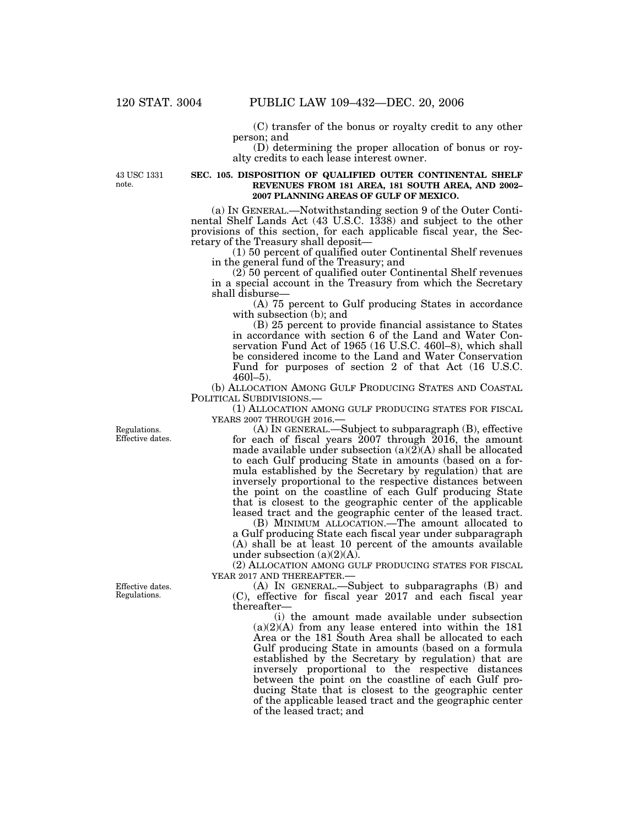(C) transfer of the bonus or royalty credit to any other person; and

(D) determining the proper allocation of bonus or royalty credits to each lease interest owner.

43 USC 1331 note.

#### **SEC. 105. DISPOSITION OF QUALIFIED OUTER CONTINENTAL SHELF REVENUES FROM 181 AREA, 181 SOUTH AREA, AND 2002– 2007 PLANNING AREAS OF GULF OF MEXICO.**

(a) IN GENERAL.—Notwithstanding section 9 of the Outer Continental Shelf Lands Act (43 U.S.C. 1338) and subject to the other provisions of this section, for each applicable fiscal year, the Secretary of the Treasury shall deposit—

(1) 50 percent of qualified outer Continental Shelf revenues in the general fund of the Treasury; and

 $(2)$  50 percent of qualified outer Continental Shelf revenues in a special account in the Treasury from which the Secretary shall disburse—

(A) 75 percent to Gulf producing States in accordance with subsection (b); and

(B) 25 percent to provide financial assistance to States in accordance with section 6 of the Land and Water Conservation Fund Act of 1965 (16 U.S.C. 460l–8), which shall be considered income to the Land and Water Conservation Fund for purposes of section 2 of that Act (16 U.S.C. 460l–5).

(b) ALLOCATION AMONG GULF PRODUCING STATES AND COASTAL POLITICAL SUBDIVISIONS.—

(1) ALLOCATION AMONG GULF PRODUCING STATES FOR FISCAL YEARS 2007 THROUGH 2016.—

(A) IN GENERAL.—Subject to subparagraph (B), effective for each of fiscal years 2007 through 2016, the amount made available under subsection  $(a)(2)(A)$  shall be allocated to each Gulf producing State in amounts (based on a formula established by the Secretary by regulation) that are inversely proportional to the respective distances between the point on the coastline of each Gulf producing State that is closest to the geographic center of the applicable leased tract and the geographic center of the leased tract.

(B) MINIMUM ALLOCATION.—The amount allocated to a Gulf producing State each fiscal year under subparagraph (A) shall be at least 10 percent of the amounts available under subsection  $(a)(2)(A)$ .

(2) ALLOCATION AMONG GULF PRODUCING STATES FOR FISCAL YEAR 2017 AND THEREAFTER.—

(A) IN GENERAL.—Subject to subparagraphs (B) and (C), effective for fiscal year 2017 and each fiscal year thereafter—

(i) the amount made available under subsection (a)(2)(A) from any lease entered into within the 181 Area or the 181 South Area shall be allocated to each Gulf producing State in amounts (based on a formula established by the Secretary by regulation) that are inversely proportional to the respective distances between the point on the coastline of each Gulf producing State that is closest to the geographic center of the applicable leased tract and the geographic center of the leased tract; and

Regulations. Effective dates.

Effective dates. Regulations.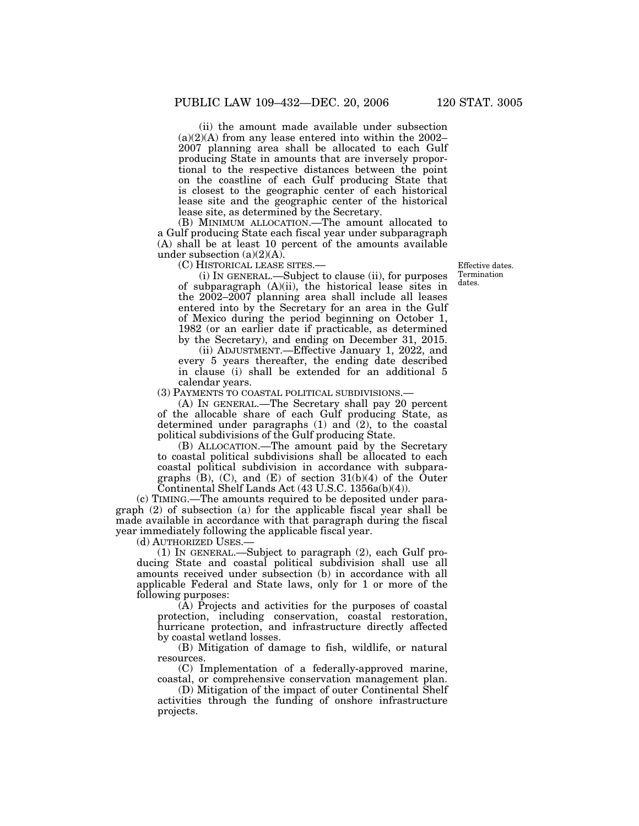(ii) the amount made available under subsection  $(a)(2)(A)$  from any lease entered into within the 2002– 2007 planning area shall be allocated to each Gulf producing State in amounts that are inversely proportional to the respective distances between the point on the coastline of each Gulf producing State that is closest to the geographic center of each historical lease site and the geographic center of the historical lease site, as determined by the Secretary.

(B) MINIMUM ALLOCATION.—The amount allocated to a Gulf producing State each fiscal year under subparagraph (A) shall be at least 10 percent of the amounts available under subsection  $(a)(2)(A)$ .

(C) HISTORICAL LEASE SITES.—

(i) IN GENERAL.—Subject to clause (ii), for purposes of subparagraph (A)(ii), the historical lease sites in the 2002–2007 planning area shall include all leases entered into by the Secretary for an area in the Gulf of Mexico during the period beginning on October 1, 1982 (or an earlier date if practicable, as determined by the Secretary), and ending on December 31, 2015.

(ii) ADJUSTMENT.—Effective January 1, 2022, and every 5 years thereafter, the ending date described in clause (i) shall be extended for an additional 5 calendar years.

(3) PAYMENTS TO COASTAL POLITICAL SUBDIVISIONS.—

(A) IN GENERAL.—The Secretary shall pay 20 percent of the allocable share of each Gulf producing State, as determined under paragraphs  $(1)$  and  $(2)$ , to the coastal political subdivisions of the Gulf producing State.

(B) ALLOCATION.—The amount paid by the Secretary to coastal political subdivisions shall be allocated to each coastal political subdivision in accordance with subparagraphs  $(B)$ ,  $(C)$ , and  $(E)$  of section  $31(b)(4)$  of the Outer Continental Shelf Lands Act (43 U.S.C. 1356a(b)(4)).

(c) TIMING.—The amounts required to be deposited under paragraph (2) of subsection (a) for the applicable fiscal year shall be made available in accordance with that paragraph during the fiscal year immediately following the applicable fiscal year.

(d) AUTHORIZED USES.—

(1) IN GENERAL.—Subject to paragraph (2), each Gulf producing State and coastal political subdivision shall use all amounts received under subsection (b) in accordance with all applicable Federal and State laws, only for 1 or more of the following purposes:

(A) Projects and activities for the purposes of coastal protection, including conservation, coastal restoration, hurricane protection, and infrastructure directly affected by coastal wetland losses.

(B) Mitigation of damage to fish, wildlife, or natural resources.

(C) Implementation of a federally-approved marine, coastal, or comprehensive conservation management plan.

(D) Mitigation of the impact of outer Continental Shelf activities through the funding of onshore infrastructure projects.

Effective dates. Termination dates.